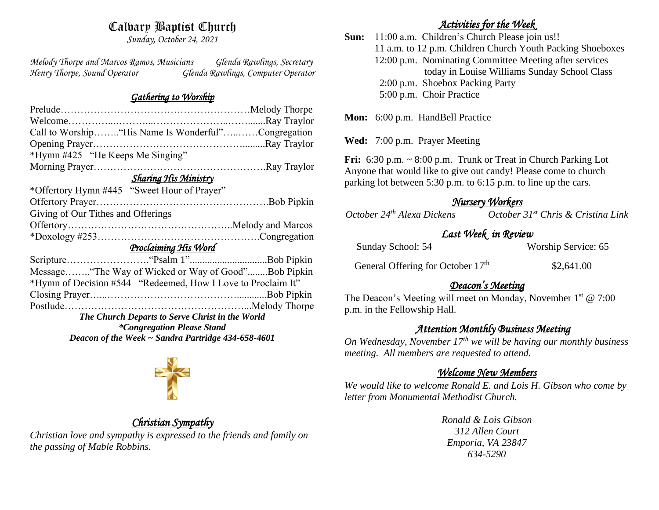# Calvary Baptist Church

*Sunday, October 24, 2021*

*Melody Thorpe and Marcos Ramos, Musicians Glenda Rawlings, Secretary Henry Thorpe, Sound Operator Glenda Rawlings, Computer Operator* 

## *Gathering to Worship*

| Call to Worship "His Name Is Wonderful"Congregation          |  |  |  |
|--------------------------------------------------------------|--|--|--|
|                                                              |  |  |  |
| *Hymn #425 "He Keeps Me Singing"                             |  |  |  |
|                                                              |  |  |  |
| <b>Sharing His Ministry</b>                                  |  |  |  |
| *Offertory Hymn #445 "Sweet Hour of Prayer"                  |  |  |  |
|                                                              |  |  |  |
| Giving of Our Tithes and Offerings                           |  |  |  |
|                                                              |  |  |  |
|                                                              |  |  |  |
| Proclaiming His Word                                         |  |  |  |
|                                                              |  |  |  |
| Message "The Way of Wicked or Way of Good"Bob Pipkin         |  |  |  |
| *Hymn of Decision #544 "Redeemed, How I Love to Proclaim It" |  |  |  |
|                                                              |  |  |  |
|                                                              |  |  |  |
| The Church Departs to Serve Christ in the World              |  |  |  |
| <i>*Congregation Please Stand</i>                            |  |  |  |
| Deacon of the Week $\sim$ Sandra Partridge 434-658-4601      |  |  |  |



# *Christian Sympathy*

*Christian love and sympathy is expressed to the friends and family on the passing of Mable Robbins.* 

## *Activities for the Week*

**Sun:** 11:00 a.m. Children's Church Please join us!! 11 a.m. to 12 p.m. Children Church Youth Packing Shoeboxes 12:00 p.m. Nominating Committee Meeting after services today in Louise Williams Sunday School Class 2:00 p.m. Shoebox Packing Party 5:00 p.m. Choir Practice

Mon: 6:00 p.m. HandBell Practice

**Wed:** 7:00 p.m. Prayer Meeting

**Fri:** 6:30 p.m. ~ 8:00 p.m.Trunk or Treat in Church Parking Lot Anyone that would like to give out candy! Please come to church parking lot between 5:30 p.m. to 6:15 p.m. to line up the cars. 

*<u>Mursery Workers</u><br>
Cotober 24<sup>th</sup> Alexa Dickens October October 24th Alexa Dickens October 31st Chris & Cristina Link* 

## *Last Week in Review*

| Sunday School: 54 | Worship Service: 65 |  |
|-------------------|---------------------|--|
|                   |                     |  |

General Offering for October 17<sup>th</sup>

\$2,641.00

# *Deacon's Meeting*

The Deacon's Meeting will meet on Monday, November  $1<sup>st</sup> @ 7:00$ p.m. in the Fellowship Hall.

## *Attention Monthly Business Meeting*

*On Wednesday, November 17th we will be having our monthly business meeting. All members are requested to attend.* 

# *Welcome New Members*

*We would like to welcome Ronald E. and Lois H. Gibson who come by letter from Monumental Methodist Church.*

> *Ronald & Lois Gibson 312 Allen Court Emporia, VA 23847 634-5290*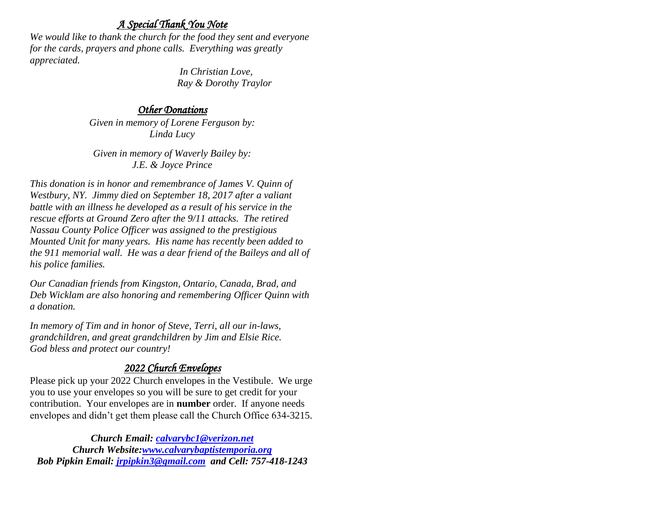## *A Special Thank You Note*

*We would like to thank the church for the food they sent and everyone for the cards, prayers and phone calls. Everything was greatly appreciated.*

> *In Christian Love, Ray & Dorothy Traylor*

## *Other Donations*

*Given in memory of Lorene Ferguson by: Linda Lucy*

*Given in memory of Waverly Bailey by: J.E. & Joyce Prince*

*This donation is in honor and remembrance of James V. Quinn of Westbury, NY. Jimmy died on September 18, 2017 after a valiant battle with an illness he developed as a result of his service in the rescue efforts at Ground Zero after the 9/11 attacks. The retired Nassau County Police Officer was assigned to the prestigious Mounted Unit for many years. His name has recently been added to the 911 memorial wall. He was a dear friend of the Baileys and all of his police families.*

*Our Canadian friends from Kingston, Ontario, Canada, Brad, and Deb Wicklam are also honoring and remembering Officer Quinn with a donation.*

*In memory of Tim and in honor of Steve, Terri, all our in-laws, grandchildren, and great grandchildren by Jim and Elsie Rice. God bless and protect our country!*

# *2022 Church Envelopes*

Please pick up your 2022 Church envelopes in the Vestibule. We urge you to use your envelopes so you will be sure to get credit for your contribution. Your envelopes are in **number** order.If anyone needs envelopes and didn't get them please call the Church Office 634-3215.

*Church Email: [calvarybc1@verizon.net](mailto:cbcemporiaoffice@gmail.com) Church Website[:www.calvarybaptistemporia.org](http://www.calvarybaptistemporia.org/) Bob Pipkin Email: [jrpipkin3@gmail.com](mailto:jrpipkin3@gmail.com) and Cell: 757-418-1243*